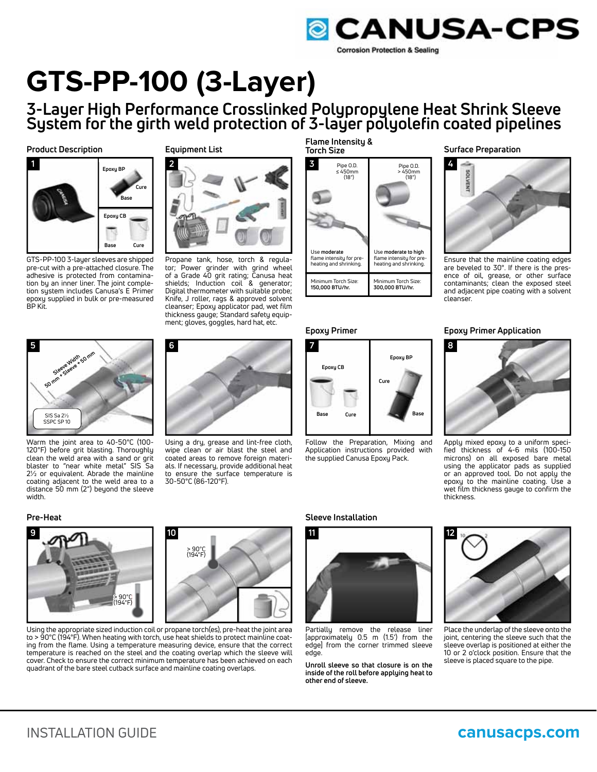

# **GTS-PP-100 (3-Layer)**

**3-Layer High Performance Crosslinked Polypropylene Heat Shrink Sleeve System for the girth weld protection of 3-layer polyolefin coated pipelines**

**Product Description**



GTS-PP-100 3-layer sleeves are shipped pre-cut with a pre-attached closure. The adhesive is protected from contamination by an inner liner. The joint completion system includes Canusa's E Primer epoxy supplied in bulk or pre-measured BP Kit.



Propane tank, hose, torch & regulator; Power grinder with grind wheel of a Grade 40 grit rating; Canusa heat shields; Induction coil & generator; Digital thermometer with suitable probe; Knife, J roller, rags & approved solvent cleanser; Epoxy applicator pad, wet film thickness gauge; Standard safety equipment; gloves, goggles, hard hat, etc.

**Flame Intensity & Torch Size**



**Epoxy Primer**



Follow the Preparation, Mixing and Application instructions provided with the supplied Canusa Epoxy Pack.

**Surface Preparation**



Ensure that the mainline coating edges are beveled to 30°. If there is the presence of oil, grease, or other surface contaminants; clean the exposed steel and adjacent pipe coating with a solvent cleanser.





Apply mixed epoxy to a uniform specified thickness of 4-6 mils (100-150 microns) on all exposed bare metal using the applicator pads as supplied or an approved tool. Do not apply the epoxy to the mainline coating. Use a wet film thickness gauge to confirm the thickness.



Warm the joint area to 40-50°C (100- 120°F) before grit blasting. Thoroughly clean the weld area with a sand or grit blaster to "near white metal" SIS Sa 2½ or equivalent. Abrade the mainline coating adjacent to the weld area to a distance 50 mm (2") beyond the sleeve width.



Using a dry, grease and lint-free cloth, wipe clean or air blast the steel and coated areas to remove foreign materials. If necessary, provide additional heat to ensure the surface temperature is 30-50°C (86-120°F).





Partially remove the release liner [approximately 0.5 m (1.5') from the edge] from the corner trimmed sleeve edge.

**Unroll sleeve so that closure is on the inside of the roll before applying heat to other end of sleeve.**



Place the underlap of the sleeve onto the joint, centering the sleeve such that the sleeve overlap is positioned at either the 10 or 2 o'clock position. Ensure that the sleeve is placed square to the pipe.





Using the appropriate sized induction coil or propane torch(es), pre-heat the joint area to > 90°C (194°F). When heating with torch, use heat shields to protect mainline coating from the flame. Using a temperature measuring device, ensure that the correct temperature is reached on the steel and the coating overlap which the sleeve will cover. Check to ensure the correct minimum temperature has been achieved on each quadrant of the bare steel cutback surface and mainline coating overlaps.